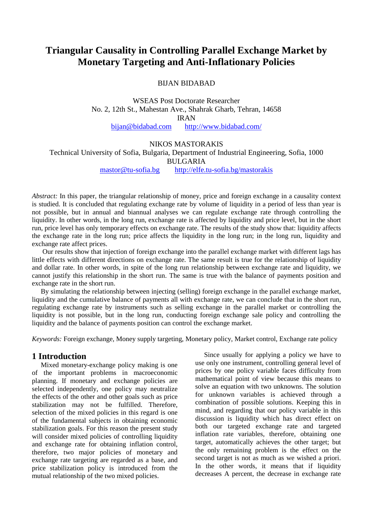# **Triangular Causality in Controlling Parallel Exchange Market by Monetary Targeting and Anti-Inflationary Policies**

BIJAN BIDABAD

WSEAS Post Doctorate Researcher No. 2, 12th St., Mahestan Ave., Shahrak Gharb, Tehran, 14658 IRAN

[bijan@bidabad.com](mailto:bijan@bidabad.com) <http://www.bidabad.com/>

#### NIKOS MASTORAKIS

Technical University of Sofia, Bulgaria, Department of Industrial Engineering, Sofia, 1000

BULGARIA

[mastor@tu-sofia.bg](mailto:mastor@tu-sofia.bg) <http://elfe.tu-sofia.bg/mastorakis>

*Abstract:* In this paper, the triangular relationship of money, price and foreign exchange in a causality context is studied. It is concluded that regulating exchange rate by volume of liquidity in a period of less than year is not possible, but in annual and biannual analyses we can regulate exchange rate through controlling the liquidity. In other words, in the long run, exchange rate is affected by liquidity and price level, but in the short run, price level has only temporary effects on exchange rate. The results of the study show that: liquidity affects the exchange rate in the long run; price affects the liquidity in the long run; in the long run, liquidity and exchange rate affect prices.

Our results show that injection of foreign exchange into the parallel exchange market with different lags has little effects with different directions on exchange rate. The same result is true for the relationship of liquidity and dollar rate. In other words, in spite of the long run relationship between exchange rate and liquidity, we cannot justify this relationship in the short run. The same is true with the balance of payments position and exchange rate in the short run.

By simulating the relationship between injecting (selling) foreign exchange in the parallel exchange market, liquidity and the cumulative balance of payments all with exchange rate, we can conclude that in the short run, regulating exchange rate by instruments such as selling exchange in the parallel market or controlling the liquidity is not possible, but in the long run, conducting foreign exchange sale policy and controlling the liquidity and the balance of payments position can control the exchange market.

*Keywords:* Foreign exchange, Money supply targeting, Monetary policy, Market control, Exchange rate policy

### **1 Introduction**

Mixed monetary-exchange policy making is one of the important problems in macroeconomic planning. If monetary and exchange policies are selected independently, one policy may neutralize the effects of the other and other goals such as price stabilization may not be fulfilled. Therefore, selection of the mixed policies in this regard is one of the fundamental subjects in obtaining economic stabilization goals. For this reason the present study will consider mixed policies of controlling liquidity and exchange rate for obtaining inflation control, therefore, two major policies of monetary and exchange rate targeting are regarded as a base, and price stabilization policy is introduced from the mutual relationship of the two mixed policies.

Since usually for applying a policy we have to use only one instrument, controlling general level of prices by one policy variable faces difficulty from mathematical point of view because this means to solve an equation with two unknowns. The solution for unknown variables is achieved through a combination of possible solutions. Keeping this in mind, and regarding that our policy variable in this discussion is liquidity which has direct effect on both our targeted exchange rate and targeted inflation rate variables, therefore, obtaining one target, automatically achieves the other target; but the only remaining problem is the effect on the second target is not as much as we wished a priori. In the other words, it means that if liquidity decreases A percent, the decrease in exchange rate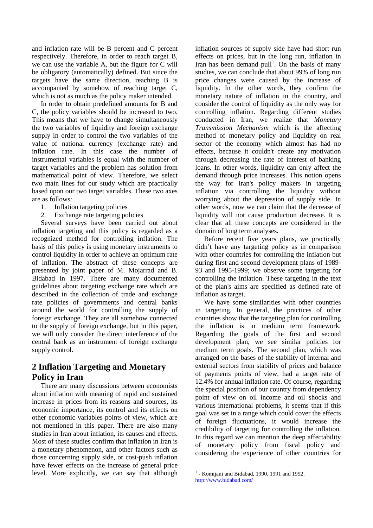and inflation rate will be B percent and C percent respectively. Therefore, in order to reach target B, we can use the variable A, but the figure for C will be obligatory (automatically) defined. But since the targets have the same direction, reaching B is accompanied by somehow of reaching target C, which is not as much as the policy maker intended.

In order to obtain predefined amounts for B and C, the policy variables should be increased to two. This means that we have to change simultaneously the two variables of liquidity and foreign exchange supply in order to control the two variables of the value of national currency (exchange rate) and inflation rate. In this case the number of instrumental variables is equal with the number of target variables and the problem has solution from mathematical point of view. Therefore, we select two main lines for our study which are practically based upon our two target variables. These two axes are as follows:

- 1. Inflation targeting policies
- 2. Exchange rate targeting policies

Several surveys have been carried out about inflation targeting and this policy is regarded as a recognized method for controlling inflation. The basis of this policy is using monetary instruments to control liquidity in order to achieve an optimum rate of inflation. The abstract of these concepts are presented by joint paper of M. Mojarrad and B. Bidabad in 1997. There are many documented guidelines about targeting exchange rate which are described in the collection of trade and exchange rate policies of governments and central banks around the world for controlling the supply of foreign exchange. They are all somehow connected to the supply of foreign exchange, but in this paper, we will only consider the direct interference of the central bank as an instrument of foreign exchange supply control.

### **2 Inflation Targeting and Monetary Policy in Iran**

There are many discussions between economists about inflation with meaning of rapid and sustained increase in prices from its reasons and sources, its economic importance, its control and its effects on other economic variables points of view, which are not mentioned in this paper. There are also many studies in Iran about inflation, its causes and effects. Most of these studies confirm that inflation in Iran is a monetary phenomenon, and other factors such as those concerning supply side, or cost-push inflation have fewer effects on the increase of general price level. More explicitly, we can say that although inflation sources of supply side have had short run effects on prices, but in the long run, inflation in Iran has been demand pull<sup>1</sup>. On the basis of many studies, we can conclude that about 99% of long run price changes were caused by the increase of liquidity. In the other words, they confirm the monetary nature of inflation in the country, and consider the control of liquidity as the only way for controlling inflation. Regarding different studies conducted in Iran, we realize that *Monetary Transmission Mechanism* which is the affecting method of monetary policy and liquidity on real sector of the economy which almost has had no effects, because it couldn't create any motivation through decreasing the rate of interest of banking loans. In other words, liquidity can only affect the demand through price increases. This notion opens the way for Iran's policy makers in targeting inflation via controlling the liquidity without worrying about the depression of supply side. In other words, now we can claim that the decrease of liquidity will not cause production decrease. It is clear that all these concepts are considered in the domain of long term analyses.

Before recent five years plans, we practically didn't have any targeting policy as in comparison with other countries for controlling the inflation but during first and second development plans of 1989- 93 and 1995-1999; we observe some targeting for controlling the inflation. These targeting in the text of the plan's aims are specified as defined rate of inflation as target.

We have some similarities with other countries in targeting. In general, the practices of other countries show that the targeting plan for controlling the inflation is in medium term framework. Regarding the goals of the first and second development plan, we see similar policies for medium term goals. The second plan, which was arranged on the bases of the stability of internal and external sectors from stability of prices and balance of payments points of view, had a target rate of 12.4% for annual inflation rate. Of course, regarding the special position of our country from dependency point of view on oil income and oil shocks and various international problems, it seems that if this goal was set in a range which could cover the effects of foreign fluctuations, it would increase the credibility of targeting for controlling the inflation. In this regard we can mention the deep affectability of monetary policy from fiscal policy and considering the experience of other countries for

 $<sup>1</sup>$  - Komijani and Bidabad, 1990, 1991 and 1992.</sup> <http://www.bidabad.com/>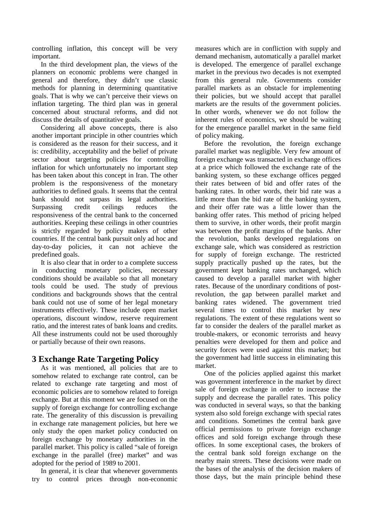controlling inflation, this concept will be very important.

In the third development plan, the views of the planners on economic problems were changed in general and therefore, they didn't use classic methods for planning in determining quantitative goals. That is why we can't perceive their views on inflation targeting. The third plan was in general concerned about structural reforms, and did not discuss the details of quantitative goals.

Considering all above concepts, there is also another important principle in other countries which is considered as the reason for their success, and it is: credibility, acceptability and the belief of private sector about targeting policies for controlling inflation for which unfortunately no important step has been taken about this concept in Iran. The other problem is the responsiveness of the monetary authorities to defined goals. It seems that the central bank should not surpass its legal authorities. Surpassing credit ceilings reduces the responsiveness of the central bank to the concerned authorities. Keeping these ceilings in other countries is strictly regarded by policy makers of other countries. If the central bank pursuit only ad hoc and day-to-day policies, it can not achieve the predefined goals.

It is also clear that in order to a complete success in conducting monetary policies, necessary conditions should be available so that all monetary tools could be used. The study of previous conditions and backgrounds shows that the central bank could not use of some of her legal monetary instruments effectively. These include open market operations, discount window, reserve requirement ratio, and the interest rates of bank loans and credits. All these instruments could not be used thoroughly or partially because of their own reasons.

### **3 Exchange Rate Targeting Policy**

As it was mentioned, all policies that are to somehow related to exchange rate control, can be related to exchange rate targeting and most of economic policies are to somehow related to foreign exchange. But at this moment we are focused on the supply of foreign exchange for controlling exchange rate. The generality of this discussion is prevailing in exchange rate management policies, but here we only study the open market policy conducted on foreign exchange by monetary authorities in the parallel market. This policy is called "sale of foreign exchange in the parallel (free) market" and was adopted for the period of 1989 to 2001.

In general, it is clear that whenever governments try to control prices through non-economic measures which are in confliction with supply and demand mechanism, automatically a parallel market is developed. The emergence of parallel exchange market in the previous two decades is not exempted from this general rule. Governments consider parallel markets as an obstacle for implementing their policies, but we should accept that parallel markets are the results of the government policies. In other words, whenever we do not follow the inherent rules of economics, we should be waiting for the emergence parallel market in the same field of policy making.

Before the revolution, the foreign exchange parallel market was negligible. Very few amount of foreign exchange was transacted in exchange offices at a price which followed the exchange rate of the banking system, so these exchange offices pegged their rates between of bid and offer rates of the banking rates. In other words, their bid rate was a little more than the bid rate of the banking system, and their offer rate was a little lower than the banking offer rates. This method of pricing helped them to survive, in other words, their profit margin was between the profit margins of the banks. After the revolution, banks developed regulations on exchange sale, which was considered as restriction for supply of foreign exchange. The restricted supply practically pushed up the rates, but the government kept banking rates unchanged, which caused to develop a parallel market with higher rates. Because of the unordinary conditions of postrevolution, the gap between parallel market and banking rates widened. The government tried several times to control this market by new regulations. The extent of these regulations went so far to consider the dealers of the parallel market as trouble-makers, or economic terrorists and heavy penalties were developed for them and police and security forces were used against this market; but the government had little success in eliminating this market.

One of the policies applied against this market was government interference in the market by direct sale of foreign exchange in order to increase the supply and decrease the parallel rates. This policy was conducted in several ways, so that the banking system also sold foreign exchange with special rates and conditions. Sometimes the central bank gave official permissions to private foreign exchange offices and sold foreign exchange through these offices. In some exceptional cases, the brokers of the central bank sold foreign exchange on the nearby main streets. These decisions were made on the bases of the analysis of the decision makers of those days, but the main principle behind these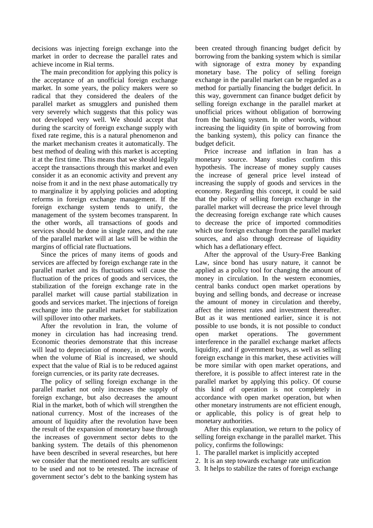decisions was injecting foreign exchange into the market in order to decrease the parallel rates and achieve income in Rial terms.

The main precondition for applying this policy is the acceptance of an unofficial foreign exchange market. In some years, the policy makers were so radical that they considered the dealers of the parallel market as smugglers and punished them very severely which suggests that this policy was not developed very well. We should accept that during the scarcity of foreign exchange supply with fixed rate regime, this is a natural phenomenon and the market mechanism creates it automatically. The best method of dealing with this market is accepting it at the first time. This means that we should legally accept the transactions through this market and even consider it as an economic activity and prevent any noise from it and in the next phase automatically try to marginalize it by applying policies and adopting reforms in foreign exchange management. If the foreign exchange system tends to unify, the management of the system becomes transparent. In the other words, all transactions of goods and services should be done in single rates, and the rate of the parallel market will at last will be within the margins of official rate fluctuations.

Since the prices of many items of goods and services are affected by foreign exchange rate in the parallel market and its fluctuations will cause the fluctuation of the prices of goods and services, the stabilization of the foreign exchange rate in the parallel market will cause partial stabilization in goods and services market. The injections of foreign exchange into the parallel market for stabilization will spillover into other markets.

After the revolution in Iran, the volume of money in circulation has had increasing trend. Economic theories demonstrate that this increase will lead to depreciation of money, in other words, when the volume of Rial is increased, we should expect that the value of Rial is to be reduced against foreign currencies, or its parity rate decreases.

The policy of selling foreign exchange in the parallel market not only increases the supply of foreign exchange, but also decreases the amount Rial in the market, both of which will strengthen the national currency. Most of the increases of the amount of liquidity after the revolution have been the result of the expansion of monetary base through the increases of government sector debts to the banking system. The details of this phenomenon have been described in several researches, but here we consider that the mentioned results are sufficient to be used and not to be retested. The increase of government sector's debt to the banking system has

been created through financing budget deficit by borrowing from the banking system which is similar with signorage of extra money by expanding monetary base. The policy of selling foreign exchange in the parallel market can be regarded as a method for partially financing the budget deficit. In this way, government can finance budget deficit by selling foreign exchange in the parallel market at unofficial prices without obligation of borrowing from the banking system. In other words, without increasing the liquidity (in spite of borrowing from the banking system), this policy can finance the budget deficit.

Price increase and inflation in Iran has a monetary source. Many studies confirm this hypothesis. The increase of money supply causes the increase of general price level instead of increasing the supply of goods and services in the economy. Regarding this concept, it could be said that the policy of selling foreign exchange in the parallel market will decrease the price level through the decreasing foreign exchange rate which causes to decrease the price of imported commodities which use foreign exchange from the parallel market sources, and also through decrease of liquidity which has a deflationary effect.

After the approval of the Usury-Free Banking Law, since bond has usury nature, it cannot be applied as a policy tool for changing the amount of money in circulation. In the western economies, central banks conduct open market operations by buying and selling bonds, and decrease or increase the amount of money in circulation and thereby, affect the interest rates and investment thereafter. But as it was mentioned earlier, since it is not possible to use bonds, it is not possible to conduct open market operations. The government interference in the parallel exchange market affects liquidity, and if government buys, as well as selling foreign exchange in this market, these activities will be more similar with open market operations, and therefore, it is possible to affect interest rate in the parallel market by applying this policy. Of course this kind of operation is not completely in accordance with open market operation, but when other monetary instruments are not efficient enough, or applicable, this policy is of great help to monetary authorities.

After this explanation, we return to the policy of selling foreign exchange in the parallel market. This policy, confirms the followings:

- 1. The parallel market is implicitly accepted
- 2. It is an step towards exchange rate unification
- 3. It helps to stabilize the rates of foreign exchange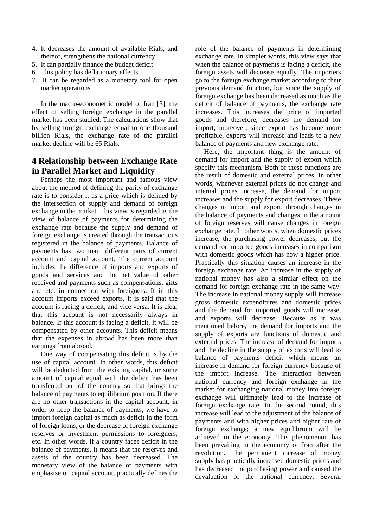- 4. It decreases the amount of available Rials, and thereof, strengthens the national currency
- 5. It can partially finance the budget deficit
- 6. This policy has deflationary effects
- 7. It can be regarded as a monetary tool for open market operations

In the macro-econometric model of Iran [5], the effect of selling foreign exchange in the parallel market has been studied. The calculations show that by selling foreign exchange equal to one thousand billion Rials, the exchange rate of the parallel market decline will be 65 Rials.

## **4 Relationship between Exchange Rate in Parallel Market and Liquidity**

Perhaps the most important and famous view about the method of defining the parity of exchange rate is to consider it as a price which is defined by the intersection of supply and demand of foreign exchange in the market. This view is regarded as the view of balance of payments for determining the exchange rate because the supply and demand of foreign exchange is created through the transactions registered in the balance of payments. Balance of payments has two main different parts of current account and capital account. The current account includes the difference of imports and exports of goods and services and the net value of other received and payments such as compensations, gifts and etc. in connection with foreigners. If in this account imports exceed exports, it is said that the account is facing a deficit, and vice versa. It is clear that this account is not necessarily always in balance. If this account is facing a deficit, it will be compensated by other accounts. This deficit means that the expenses in abroad has been more than earnings from abroad.

One way of compensating this deficit is by the use of capital account. In other words, this deficit will be deducted from the existing capital, or some amount of capital equal with the deficit has been transferred out of the country so that brings the balance of payments to equilibrium position. If there are no other transactions in the capital account, in order to keep the balance of payments, we have to import foreign capital as much as deficit in the form of foreign loans, or the decrease of foreign exchange reserves or investment permissions to foreigners, etc. In other words, if a country faces deficit in the balance of payments, it means that the reserves and assets of the country has been decreased. The monetary view of the balance of payments with emphasize on capital account, practically defines the role of the balance of payments in determining exchange rate. In simpler words, this view says that when the balance of payments is facing a deficit, the foreign assets will decrease equally. The importers go to the foreign exchange market according to their previous demand function, but since the supply of foreign exchange has been decreased as much as the deficit of balance of payments, the exchange rate increases. This increases the price of imported goods and therefore, decreases the demand for import; moreover, since export has become more profitable, exports will increase and leads to a new balance of payments and new exchange rate.

Here, the important thing is the amount of demand for import and the supply of export which specify this mechanism. Both of these functions are the result of domestic and external prices. In other words, whenever external prices do not change and internal prices increase, the demand for import increases and the supply for export decreases. These changes in import and export, through changes in the balance of payments and changes in the amount of foreign reserves will cause changes in foreign exchange rate. In other words, when domestic prices increase, the purchasing power decreases, but the demand for imported goods increases in comparison with domestic goods which has now a higher price. Practically this situation causes an increase in the foreign exchange rate. An increase in the supply of national money has also a similar effect on the demand for foreign exchange rate in the same way. The increase in national money supply will increase gross domestic expenditures and domestic prices and the demand for imported goods will increase, and exports will decrease. Because as it was mentioned before, the demand for imports and the supply of exports are functions of domestic and external prices. The increase of demand for imports and the decline in the supply of exports will lead to balance of payments deficit which means an increase in demand for foreign currency because of the import increase. The interaction between national currency and foreign exchange in the market for exchanging national money into foreign exchange will ultimately lead to the increase of foreign exchange rate. In the second round, this increase will lead to the adjustment of the balance of payments and with higher prices and higher rate of foreign exchange; a new equilibrium will be achieved in the economy. This phenomenon has been prevailing in the economy of Iran after the revolution. The permanent increase of money supply has practically increased domestic prices and has decreased the purchasing power and caused the devaluation of the national currency. Several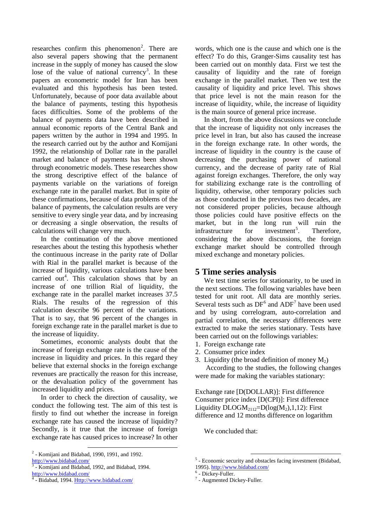researches confirm this phenomenon<sup>2</sup>. There are also several papers showing that the permanent increase in the supply of money has caused the slow lose of the value of national currency<sup>3</sup>. In these papers an econometric model for Iran has been evaluated and this hypothesis has been tested. Unfortunately, because of poor data available about the balance of payments, testing this hypothesis faces difficulties. Some of the problems of the balance of payments data have been described in annual economic reports of the Central Bank and papers written by the author in 1994 and 1995. In the research carried out by the author and Komijani 1992, the relationship of Dollar rate in the parallel market and balance of payments has been shown through econometric models. These researches show the strong descriptive effect of the balance of payments variable on the variations of foreign exchange rate in the parallel market. But in spite of these confirmations, because of data problems of the balance of payments, the calculation results are very sensitive to every single year data, and by increasing or decreasing a single observation, the results of calculations will change very much.

In the continuation of the above mentioned researches about the testing this hypothesis whether the continuous increase in the parity rate of Dollar with Rial in the parallel market is because of the increase of liquidity, various calculations have been carried out<sup>4</sup>. This calculation shows that by an increase of one trillion Rial of liquidity, the exchange rate in the parallel market increases 37.5 Rials. The results of the regression of this calculation describe 96 percent of the variations. That is to say, that 96 percent of the changes in foreign exchange rate in the parallel market is due to the increase of liquidity.

Sometimes, economic analysts doubt that the increase of foreign exchange rate is the cause of the increase in liquidity and prices. In this regard they believe that external shocks in the foreign exchange revenues are practically the reason for this increase, or the devaluation policy of the government has increased liquidity and prices.

In order to check the direction of causality, we conduct the following test. The aim of this test is firstly to find out whether the increase in foreign exchange rate has caused the increase of liquidity? Secondly, is it true that the increase of foreign exchange rate has caused prices to increase? In other words, which one is the cause and which one is the effect? To do this, Granger-Sims causality test has been carried out on monthly data. First we test the causality of liquidity and the rate of foreign exchange in the parallel market. Then we test the causality of liquidity and price level. This shows that price level is not the main reason for the increase of liquidity, while, the increase of liquidity is the main source of general price increase.

In short, from the above discussions we conclude that the increase of liquidity not only increases the price level in Iran, but also has caused the increase in the foreign exchange rate. In other words, the increase of liquidity in the country is the cause of decreasing the purchasing power of national currency, and the decrease of parity rate of Rial against foreign exchanges. Therefore, the only way for stabilizing exchange rate is the controlling of liquidity, otherwise, other temporary policies such as those conducted in the previous two decades, are not considered proper policies, because although those policies could have positive effects on the market, but in the long run will ruin the infrastructure for investment<sup>5</sup> . Therefore, considering the above discussions, the foreign exchange market should be controlled through mixed exchange and monetary policies.

### **5 Time series analysis**

We test time series for stationarity, to be used in the next sections. The following variables have been tested for unit root. All data are monthly series. Several tests such as DF<sup>6</sup> and ADF<sup>7</sup> have been used and by using correlogram, auto-correlation and partial correlation, the necessary differences were extracted to make the series stationary. Tests have been carried out on the followings variables:

- 1. Foreign exchange rate
- 2. Consumer price index
- 3. Liquidity (the broad definition of money  $M_2$ )

According to the studies, the following changes were made for making the variables stationary:

Exchange rate [D(DOLLAR)]: First difference Consumer price index [D(CPI)]: First difference Liquidity  $DLOGM_{2112}=D(log(M_{2}),1,12)$ : First difference and 12 months difference on logarithm

We concluded that:

 $2$  - Komijani and Bidabad, 1990, 1991, and 1992. <http://www.bidabad.com/>

<sup>&</sup>lt;sup>3</sup> - Komijani and Bidabad, 1992, and Bidabad, 1994. <http://www.bidabad.com/>

<sup>-</sup> Bidabad, 1994. [Http://www.bidabad.com/](http://www.bidabad.com/)

 <sup>5</sup> - Economic security and obstacles facing investment (Bidabad,

<sup>1995).</sup>  $\frac{http://www.bidabad.com/}{http://www.bidabad.com/}$ <br>
<sup>6</sup> - Dickey-Fuller.<br>
<sup>7</sup> - Augmented Dickey-Fuller.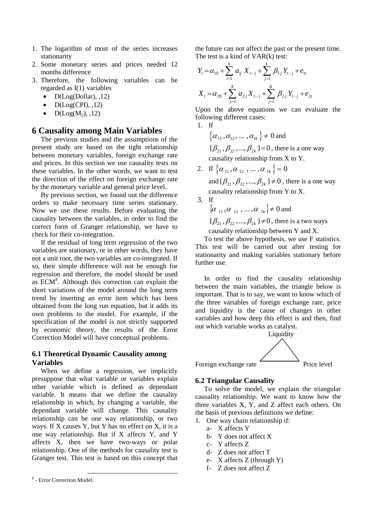- 1. The logarithm of most of the series increases stationarity
- 2. Some monetary series and prices needed 12 months difference
- 3. Therefore, the following variables can be regarded as I(1) variables
	- $D(Log(Dollar), 12)$
	- $D(Log(CPI), 12)$
	- $D(Log(M_2), 12)$

### **6 Causality among Main Variables**

The previous studies and the assumptions of the present study are based on the tight relationship between monetary variables, foreign exchange rate and prices. In this section we use causality tests on these variables. In the other words, we want to test the direction of the effect on foreign exchange rate by the monetary variable and general price level.

By previous section, we found out the difference orders to make necessary time series stationary. Now we use these results. Before evaluating the causality between the variables, in order to find the correct form of Granger relationship, we have to check for their co-integration.

If the residual of long term regression of the two variables are stationary, or in other words, they have not a unit root, the two variables are co-integrated. If so, their simple difference will not be enough for regression and therefore, the model should be used as ECM<sup>[8](#page-6-0)</sup>. Although this correction can explain the short variations of the model around the long term trend by inserting an error item which has been obtained from the long run equation, but it adds its own problems to the model. For example, if the specification of the model is not strictly supported by economic theory, the results of the Error Correction Model will have conceptual problems.

#### **6.1 Theoretical Dynamic Causality among Variables**

When we define a regression, we implicitly presuppose that what variable or variables explain other variable which is defined as dependant variable. It means that we define the causality relationship in which, by changing a variable, the dependant variable will change. This causality relationship can be one way relationship, or two ways. If X causes Y, but Y has no effect on X, it is a one way relationship. But if X affects Y, and Y affects X, then we have two-ways or polar relationship. One of the methods for causality test is Granger test. This test is based on this concept that the future can not affect the past or the present time. The test is a kind of VAR(k) test:

$$
Y_{t} = \alpha_{10} + \sum_{i=1}^{k} a_{ij} X_{t-j} + \sum_{j=1}^{k} \beta_{1j} Y_{t-j} + e_{1t}
$$
  

$$
X_{t} = \alpha_{20} + \sum_{j=1}^{k} a_{2j} X_{t-j} + \sum_{j=1}^{k} \beta_{2j} Y_{t-j} + e_{2t}
$$

Upon the above equations we can evaluate the following different cases:

1. If

 $\{\alpha_{11}, \alpha_{12}, \dots, \alpha_{1k}\}\neq 0$  and  $\{\beta_{21}, \beta_{22}, ..., \beta_{2k}\} = 0$ , there is a one way causality relationship from X to Y.

2. If  $\{\alpha_{11}, \alpha_{12}, \dots, \alpha_{1k}\}=0$ 

and  $\{\beta_{21}, \beta_{22}, ..., \beta_{2k}\}\neq 0$ , there is a one way causality relationship from Y to X.

3. If  $\{\alpha_{11}, \alpha_{12}, \ldots, \alpha_{1k}\}\neq 0$  and  $\{\beta_{21}, \beta_{22}, ..., \beta_{2k}\}\neq 0$ , there is a two ways

causality relationship between Y and X.

To test the above hypothesis, we use F statistics. This test will be carried out after testing for stationarity and making variables stationary before further use.

In order to find the causality relationship between the main variables, the triangle below is important. That is to say, we want to know which of the three variables of foreign exchange rate, price and liquidity is the cause of changes in other variables and how deep this effect is and then, find out which variable works as catalyst.



Foreign exchange rate Price level



### **6.2 Triangular Causality**

To solve the model, we explain the triangular causality relationship. We want to know how the three variables X, Y, and Z affect each others. On the basis of previous definitions we define:

- 1. One way chain relationship if:
	- a- X affects Y
	- b- Y does not affect X
	- c- Y affects Z
	- d- Z does not affect T
	- e- X affects Z (through Y)
	- f- Z does not affect Z

<span id="page-6-0"></span> <sup>8</sup> - Error Correction Model.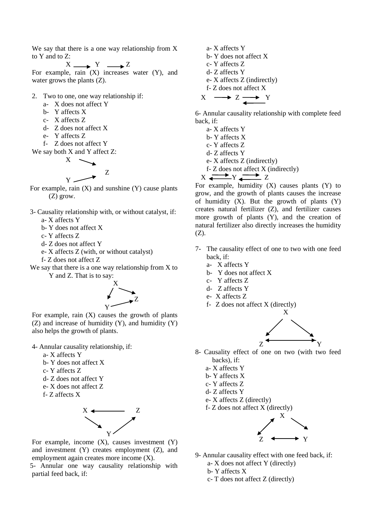We say that there is a one way relationship from X to Y and to Z:

$$
X \longrightarrow Y \longrightarrow Z
$$

For example, rain (X) increases water (Y), and water grows the plants (Z).

- 2. Two to one, one way relationship if:
	- a- X does not affect Y
	- b- Y affects X
	- c- X affects Z
	- d- Z does not affect X
	- e- Y affects Z
	- f- Z does not affect Y

We say both 
$$
X
$$
 and  $Y$  affect  $Z$ :

X Z

- Y For example, rain  $(X)$  and sunshine  $(Y)$  cause plants (Z) grow.
- 3- Causality relationship with, or without catalyst, if: a- X affects Y
	- b- Y does not affect X
	- c- Y affects Z
	- d- Z does not affect Y
	- e- X affects Z (with, or without catalyst)
	- f- Z does not affect Z
- We say that there is a one way relationship from X to Y and Z. That is to say:



For example, rain  $(X)$  causes the growth of plants (Z) and increase of humidity (Y), and humidity (Y) also helps the growth of plants.

4- Annular causality relationship, if:

- a- X affects Y
- b- Y does not affect X
- c- Y affects Z
- d- Z does not affect Y
- e- X does not affect Z
- f- Z affects X



For example, income  $(X)$ , causes investment  $(Y)$ and investment (Y) creates employment (Z), and employment again creates more income (X).

5- Annular one way causality relationship with partial feed back, if:

a- X affects Y b- Y does not affect X c- Y affects Z d- Z affects Y e- X affects Z (indirectly) f- Z does not affect X  $X \longrightarrow Z \longrightarrow Y$ 

6- Annular causality relationship with complete feed back, if:

- a- X affects Y
- b- Y affects X
- c- Y affects Z
- d- Z affects Y
- e- X affects Z (indirectly)
- f- Z does not affect X (indirectly)

$$
X \xrightarrow{\longrightarrow} Y \xleftarrow{\longrightarrow} Z
$$

For example, humidity  $(X)$  causes plants  $(Y)$  to grow, and the growth of plants causes the increase of humidity  $(X)$ . But the growth of plants  $(Y)$ creates natural fertilizer (Z), and fertilizer causes more growth of plants (Y), and the creation of natural fertilizer also directly increases the humidity (Z).

- 7- The causality effect of one to two with one feed back, if:
	- a- X affects Y
	- b- Y does not affect X
	- c- Y affects Z
	- d- Z affects Y
	- e- X affects Z
	- f- Z does not affect X (directly)



- 8- Causality effect of one on two (with two feed backs), if:
	- a- X affects Y
	- b- Y affects X
	- c- Y affects Z
	- d- Z affects Y
	- e- X affects Z (directly)
	- f- Z does not affect X (directly)



- 9- Annular causality effect with one feed back, if:
	- a- X does not affect Y (directly)
	- b- Y affects X
	- c- T does not affect Z (directly)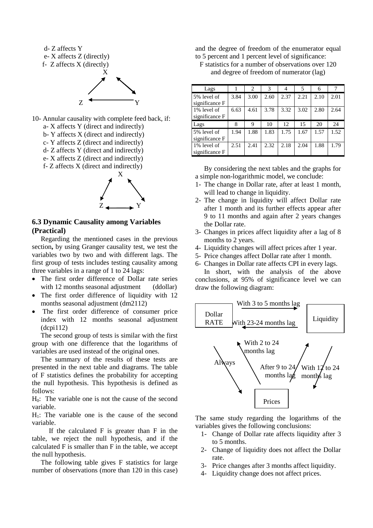

f- Z affects X (direct and indirectly)



#### **6.3 Dynamic Causality among Variables (Practical)**

Regarding the mentioned cases in the previous section**,** by using Granger causality test, we test the variables two by two and with different lags. The first group of tests includes testing causality among three variables in a range of 1 to 24 lags:

- The first order difference of Dollar rate series with 12 months seasonal adjustment (ddollar)
- The first order difference of liquidity with 12 months seasonal adjustment (dm2112)
- The first order difference of consumer price index with 12 months seasonal adjustment (dcpi112)

The second group of tests is similar with the first group with one difference that the logarithms of variables are used instead of the original ones.

The summary of the results of these tests are presented in the next table and diagrams. The table of F statistics defines the probability for accepting the null hypothesis. This hypothesis is defined as follows:

 $H<sub>0</sub>$ : The variable one is not the cause of the second variable.

 $H<sub>1</sub>$ : The variable one is the cause of the second variable.

If the calculated F is greater than F in the table, we reject the null hypothesis, and if the calculated F is smaller than F in the table, we accept the null hypothesis.

The following table gives F statistics for large number of observations (more than 120 in this case) and the degree of freedom of the enumerator equal to 5 percent and 1 percent level of significance:

F statistics for a number of observations over 120 and degree of freedom of numerator (lag)

| Lags           |      | 2    | 3    |      | 5    | 6    | 7    |
|----------------|------|------|------|------|------|------|------|
| 5% level of    | 3.84 | 3.00 | 2.60 | 2.37 | 2.21 | 2.10 | 2.01 |
| significance F |      |      |      |      |      |      |      |
| 1% level of    | 6.63 | 4.61 | 3.78 | 3.32 | 3.02 | 2.80 | 2.64 |
| significance F |      |      |      |      |      |      |      |
|                |      |      |      |      |      |      |      |
| Lags           | 8    | 9    | 10   | 12   | 15   | 20   | 24   |
| 5% level of    | 1.94 | 1.88 | 1.83 | 1.75 | 1.67 | 1.57 | 1.52 |
| significance F |      |      |      |      |      |      |      |
| 1% level of    | 2.51 | 2.41 | 2.32 | 2.18 | 2.04 | 1.88 | 1.79 |

By considering the next tables and the graphs for a simple non-logarithmic model, we conclude:

- 1- The change in Dollar rate, after at least 1 month, will lead to change in liquidity.
- 2- The change in liquidity will affect Dollar rate after 1 month and its further effects appear after 9 to 11 months and again after 2 years changes the Dollar rate.
- 3- Changes in prices affect liquidity after a lag of 8 months to 2 years.
- 4- Liquidity changes will affect prices after 1 year.
- 5- Price changes affect Dollar rate after 1 month.
- 6- Changes in Dollar rate affects CPI in every lags.

In short, with the analysis of the above conclusions, at 95% of significance level we can draw the following diagram:



The same study regarding the logarithms of the variables gives the following conclusions:

- 1- Change of Dollar rate affects liquidity after 3 to 5 months.
- 2- Change of liquidity does not affect the Dollar rate.
- 3- Price changes after 3 months affect liquidity.
- 4- Liquidity change does not affect prices.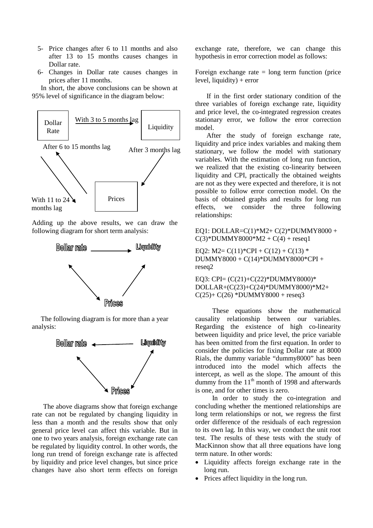- 5- Price changes after 6 to 11 months and also after 13 to 15 months causes changes in Dollar rate.
- 6- Changes in Dollar rate causes changes in prices after 11 months.

In short, the above conclusions can be shown at 95% level of significance in the diagram below:



Adding up the above results, we can draw the following diagram for short term analysis:



The following diagram is for more than a year analysis:



The above diagrams show that foreign exchange rate can not be regulated by changing liquidity in less than a month and the results show that only general price level can affect this variable. But in one to two years analysis, foreign exchange rate can be regulated by liquidity control. In other words, the long run trend of foreign exchange rate is affected by liquidity and price level changes, but since price changes have also short term effects on foreign exchange rate, therefore, we can change this hypothesis in error correction model as follows:

Foreign exchange rate  $=$  long term function (price level, liquidity) + error

If in the first order stationary condition of the three variables of foreign exchange rate, liquidity and price level, the co-integrated regression creates stationary error, we follow the error correction model.

After the study of foreign exchange rate, liquidity and price index variables and making them stationary, we follow the model with stationary variables. With the estimation of long run function, we realized that the existing co-linearity between liquidity and CPI, practically the obtained weights are not as they were expected and therefore, it is not possible to follow error correction model. On the basis of obtained graphs and results for long run effects, we consider the three following relationships:

EQ1: DOLLAR=C(1)\*M2+ C(2)\*DUMMY8000 +  $C(3)*DUMMY8000*M2 + C(4) + reseq1$ 

EQ2: M2=  $C(11)*CPI + C(12) + C(13)*$ DUMMY8000 + C(14)\*DUMMY8000\*CPI + reseq2

EQ3: CPI= (C(21)+C(22)\*DUMMY8000)\* DOLLAR+(C(23)+C(24)\*DUMMY8000)\*M2+  $C(25) + C(26) * DUMMY8000 + reseq3$ 

These equations show the mathematical causality relationship between our variables. Regarding the existence of high co-linearity between liquidity and price level, the price variable has been omitted from the first equation. In order to consider the policies for fixing Dollar rate at 8000 Rials, the dummy variable "dummy8000" has been introduced into the model which affects the intercept, as well as the slope. The amount of this dummy from the  $11<sup>th</sup>$  month of 1998 and afterwards is one, and for other times is zero.

In order to study the co-integration and concluding whether the mentioned relationships are long term relationships or not, we regress the first order difference of the residuals of each regression to its own lag. In this way, we conduct the unit root test. The results of these tests with the study of MacKinnon show that all three equations have long term nature. In other words:

- Liquidity affects foreign exchange rate in the long run.
- Prices affect liquidity in the long run.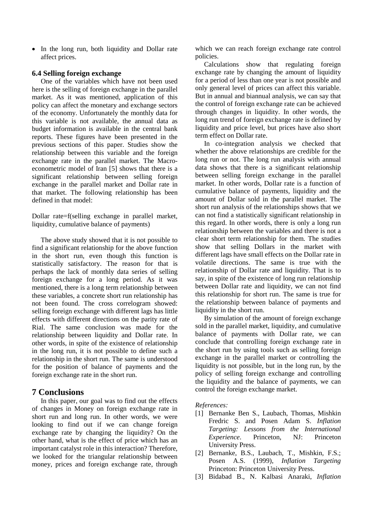• In the long run, both liquidity and Dollar rate affect prices.

#### **6.4 Selling foreign exchange**

One of the variables which have not been used here is the selling of foreign exchange in the parallel market. As it was mentioned, application of this policy can affect the monetary and exchange sectors of the economy. Unfortunately the monthly data for this variable is not available, the annual data as budget information is available in the central bank reports. These figures have been presented in the previous sections of this paper. Studies show the relationship between this variable and the foreign exchange rate in the parallel market. The Macroeconometric model of Iran [5] shows that there is a significant relationship between selling foreign exchange in the parallel market and Dollar rate in that market. The following relationship has been defined in that model:

Dollar rate=f(selling exchange in parallel market, liquidity, cumulative balance of payments)

The above study showed that it is not possible to find a significant relationship for the above function in the short run, even though this function is statistically satisfactory. The reason for that is perhaps the lack of monthly data series of selling foreign exchange for a long period. As it was mentioned, there is a long term relationship between these variables, a concrete short run relationship has not been found. The cross correlogram showed: selling foreign exchange with different lags has little effects with different directions on the parity rate of Rial. The same conclusion was made for the relationship between liquidity and Dollar rate. In other words, in spite of the existence of relationship in the long run, it is not possible to define such a relationship in the short run. The same is understood for the position of balance of payments and the foreign exchange rate in the short run.

### **7 Conclusions**

In this paper, our goal was to find out the effects of changes in Money on foreign exchange rate in short run and long run. In other words, we were looking to find out if we can change foreign exchange rate by changing the liquidity? On the other hand, what is the effect of price which has an important catalyst role in this interaction? Therefore, we looked for the triangular relationship between money, prices and foreign exchange rate, through which we can reach foreign exchange rate control policies.

Calculations show that regulating foreign exchange rate by changing the amount of liquidity for a period of less than one year is not possible and only general level of prices can affect this variable. But in annual and biannual analysis, we can say that the control of foreign exchange rate can be achieved through changes in liquidity. In other words, the long run trend of foreign exchange rate is defined by liquidity and price level, but prices have also short term effect on Dollar rate.

In co-integration analysis we checked that whether the above relationships are credible for the long run or not. The long run analysis with annual data shows that there is a significant relationship between selling foreign exchange in the parallel market. In other words, Dollar rate is a function of cumulative balance of payments, liquidity and the amount of Dollar sold in the parallel market. The short run analysis of the relationships shows that we can not find a statistically significant relationship in this regard. In other words, there is only a long run relationship between the variables and there is not a clear short term relationship for them. The studies show that selling Dollars in the market with different lags have small effects on the Dollar rate in volatile directions. The same is true with the relationship of Dollar rate and liquidity. That is to say, in spite of the existence of long run relationship between Dollar rate and liquidity, we can not find this relationship for short run. The same is true for the relationship between balance of payments and liquidity in the short run.

By simulation of the amount of foreign exchange sold in the parallel market, liquidity, and cumulative balance of payments with Dollar rate, we can conclude that controlling foreign exchange rate in the short run by using tools such as selling foreign exchange in the parallel market or controlling the liquidity is not possible, but in the long run, by the policy of selling foreign exchange and controlling the liquidity and the balance of payments, we can control the foreign exchange market.

*References:*

- [1] Bernanke Ben S., Laubach, Thomas, Mishkin Fredric S. and Posen Adam S. *Inflation Targeting: Lessons from the International Experience*. Princeton, NJ: Princeton University Press.
- [2] Bernanke, B.S., Laubach, T., Mishkin, F.S.; Posen A.S. (1999), *Inflation Targeting* Princeton: Princeton University Press.
- [3] Bidabad B., N. Kalbasi Anaraki, *Inflation*